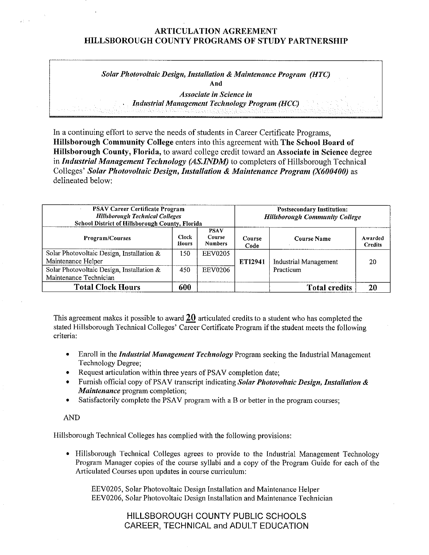### **ARTICULATION AGREEMENT HILLSBOROUGH COUNTY PROGRAMS OF STUDY PARTNERSHIP**

*Solar Photovoltaic Design, Installation* & *Maintenance Program (HTC)*  **And** 

> *Associate in Science in Indastrial Management Technology Program (HCC)*

In a continuing effort to serve the needs of students in Career Certificate Programs, **Hillsborough Community College** enters into this agreement with **The School Board of Hillsborough County, Florida,** to award college credit toward an **Associate in Science** degree in *Industrial Management Technology (AS.INDM)* to completers of Hillsborough Technical Colleges' *Solar Photovoltaic Design, Installation* & *Maintenance Program (X600400)* as delineated below:

| <b>PSAV Career Certificate Program</b><br><b>Hillsborough Technical Colleges</b><br>School District of Hillsborough County, Florida |                              |                                         | <b>Postsecondary Institution:</b><br><b>Hillsborough Community College</b> |                              |                           |
|-------------------------------------------------------------------------------------------------------------------------------------|------------------------------|-----------------------------------------|----------------------------------------------------------------------------|------------------------------|---------------------------|
| Program/Courses                                                                                                                     | <b>Clock</b><br><b>Hours</b> | <b>PSAV</b><br>Course<br><b>Numbers</b> | Course<br>Code                                                             | Course Name                  | Awarded<br><b>Credits</b> |
| Solar Photovoltaic Design, Installation &<br>Maintenance Helper                                                                     | 150                          | <b>EEV0205</b>                          | <b>ETI2941</b>                                                             | <b>Industrial Management</b> | 20                        |
| Solar Photovoltaic Design, Installation &<br>Maintenance Technician                                                                 | 450                          | <b>EEV0206</b>                          |                                                                            | Practicum                    |                           |
| <b>Total Clock Hours</b>                                                                                                            | 600                          |                                         |                                                                            | <b>Total credits</b>         | 20                        |

This agreement makes it possible to award **20** articulated credits to a student who has completed the stated Hillsborough Technical Colleges' Career Certificate Program if the student meets the following criteria:

- Enroll in the *Industrial Management Technology* Program seeking the Industrial Management Technology Degree;
- Request articulation within three years of PSAV completion date;
- Furnish official copy of PSAV transcript indicating Solar Photovoltaic Design, Installation & *Maintenance* program completion;
- Satisfactorily complete the PSAV program with a B or better in the program courses;

AND

Hillsborough Technical Colleges has complied with the following provisions:

• Hillsborough Technical Colleges agrees to provide to the Industrial Management Technology Program Manager copies of the course syllabi and a copy of the Program Guide for each of the Articulated Courses upon updates in course curriculum:

EEV0205, Solar Photovoltaic Design Installation and Maintenance Helper EEV0206, Solar Photovoltaic Design Installation and Maintenance Technician

## HILLSBOROUGH COUNTY PUBLIC SCHOOLS CAREER, TECHNICAL and ADULT EDUCATION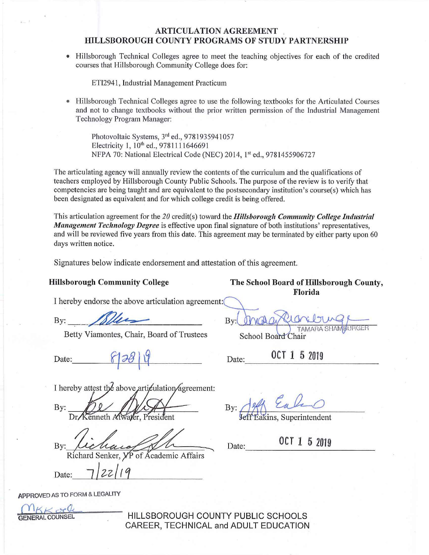### **ARTICULATION AGREEMENT HILLSBOROUGH COUNTY PROGRAMS OF STUDY PARTNERSHIP**

• Hillsborough Technical Colleges agree to meet the teaching objectives for each of the credited courses that Hillsborough Community College does for:

ETI2941, Industrial Management Practicum

• Hillsborough Technical Colleges agree to use the following textbooks for the Articulated Courses and not to change textbooks without the prior written permission of the Industrial Management Technology Program Manager:

Photovoltaic Systems, 3rd ed., 9781935941057 Electricity 1, 10<sup>th</sup> ed., 9781111646691 NFPA 70: National Electrical Code (NEC) 2014, 1st ed., 9781455906727

The articulating agency will annually review the contents of the curriculum and the qualifications of teachers employed by Hillsborough County Public Schools. The purpose ofthe review is to verify that competencies are being taught and are equivalent to the postsecondary institution's course(s) which has been designated as equivalent and for which college credit is being offered.

This articulation agreement for the *20* credit(s) toward the *Hillsborough Community College Industrial Management Tecltnology Degree* is effective upon final signature of both institutions' representatives, and will be reviewed five years from this date. This agreement may be terminated by either party upon 60 days written notice.

Signatures below indicate endorsement and attestation of this agreement.

I hereby endorse the above articulation agreement:

By: \_\_- -~ --

Betty Viamontes, Chair, Board of Trustees Betty Viamontes, Chair, Board of Trustees<br>Date:  $\begin{array}{c|c} \text{7AMARA} \text{1} & \text{7AMARA} \end{array}$ <br>Date: 0CT 1 5 2019

I hereby attest the above articulation/agreement:

 $By:$ 

OCT 1 5 <sup>2019</sup> By:-1-~~~~~4)~ ~ ====::::-- Date:

Richard Senker,  $\chi$ P of Academic Affai<br>Date:  $\frac{7}{2z/19}$ 

APPROVED AS TO FORM & LEGALITY

*(Y\KKcele* 

HILLSBOROUGH COUNTY PUBLIC SCHOOLS CAREER, TECHNICAL and ADULT EDUCATION

Hillsborough Community College The School Board of Hillsborough County, **Florida** 

By:

28 9 9 Date: 0CT 1 5 2019

By: Tell Called The Superintendent

OCT 1 5 2019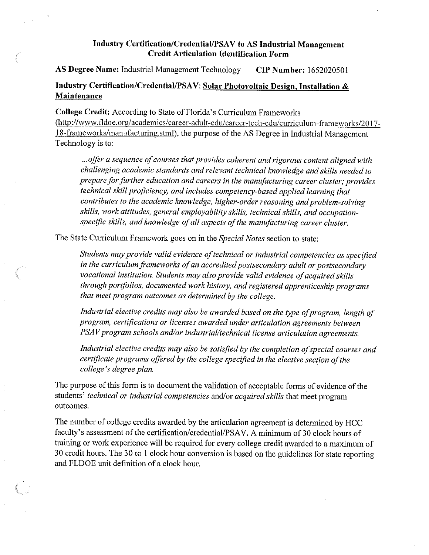### **Industry Certification/Credential/PSA V to AS Industrial Management Credit Articulation Identification Form**

**AS Degree Name:** Industrial Management Technology **CIP Number:** 1652020501

# **Industry Certification/Credential/PSAV: Solar Photovoltaic Design, Installation** & **Maintenance**

**College Credit:** According to State of Florida's Curriculum Frameworks (http://www.fldoe.org/academics/career-adult-edu/career-tech-edu/curriculum-frameworks/2017-18-frameworks/manufacturing.stml), the purpose of the AS Degree in Industrial Management Technology is to:

... *offer a sequence of courses that provides coherent and rigorous content aligned with challenging academic standards and relevant technical knowledge and skills needed to prepare for further education and careers in the manufacturing career cluster; provides technical skill proficiency, and includes competency-based applied learning that contributes to the academic knowledge, higher-order reasoning and problem-solving skills, work attitudes, general employability skills, technical skills, and occupationspecific skills, and knowledge of all aspects of the manufacturing career cluster.* 

The State Curriculum Framework goes on in the *Special Notes* section to state:

*Students may provide valid evidence oftechnical or industrial competencies as specified*  in the curriculum frameworks of an accredited postsecondary adult or postsecondary vocational institution. Students may also provide valid evidence of acquired skills *through portfolios, documented work history, and registered apprenticeship programs that meet program outcomes as determined by the college.* 

*Industrial elective credits may also be awarded based on the type of program, length of program, certifications or licenses awarded under articulation agreements between PSAV* program schools and/or industrial/technical license articulation agreements.

Industrial elective credits may also be satisfied by the completion of special courses and *certificate programs offered by the college specified in the elective section ofthe college's degree plan.* 

The purpose of this form is to document the validation of acceptable forms of evidence of the students' *technical or industrial competencies* and/or *acquired skills* that meet program outcomes.

The number of college credits awarded by the articulation agreement is determined by HCC faculty's assessment of the certification/credential/PSAV. A minimum of 30 clock hours of training or work experience will be required for every college credit awarded to a maximum of 30 credit hours. The 30 to **1** clock hour conversion is based on the guidelines for state reporting and FLDOE unit definition of a clock hour.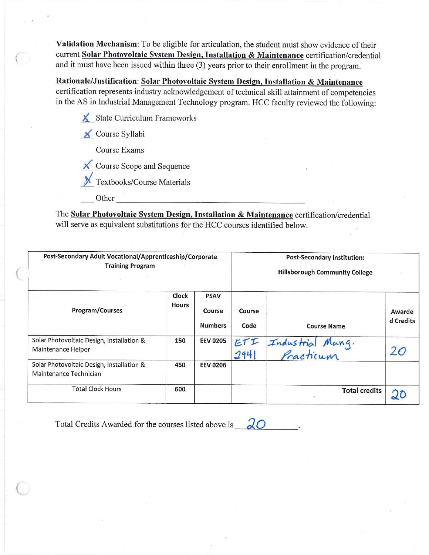Validation Mechanism: To be eligible for articulation, the student must show evidence of their current Solar Photovoltaic System Design, Installation & Maintenance certification/credential and it must have been issued within three (3) years prior to their enrollment in the program.

Rationale/Justification: Solar Photovoltaic System Design, Installation & Maintenance certification represents industry acknowledgement of technical skill attainment of competencies in the AS in Industrial Management Technology program. HCC faculty reviewed the following:

 $\chi$  State Curriculum Frameworks

**x** Course Syllabi

Course Exams

<u>★</u> Course Scope and Sequence

Textbooks/Course Materials

Other

The Solar Photovoltaic System Design, Installation & Maintenance certification/credential will serve as equivalent substitutions for the HCC courses identified below.

| Post-Secondary Adult Vocational/Apprenticeship/Corporate<br><b>Training Program</b> |                       |                                         | <b>Post-Secondary Institution:</b><br><b>Hillsborough Community College</b> |                               |                     |  |
|-------------------------------------------------------------------------------------|-----------------------|-----------------------------------------|-----------------------------------------------------------------------------|-------------------------------|---------------------|--|
| Program/Courses                                                                     | Clock<br><b>Hours</b> | <b>PSAV</b><br>Course<br><b>Numbers</b> | Course<br>Code                                                              | <b>Course Name</b>            | Awarde<br>d Credits |  |
| Solar Photovoltaic Design, Installation &<br>Maintenance Helper                     | 150                   | <b>EEV 0205</b>                         | ETI<br>294                                                                  | Industrial Mang.<br>Practicum | 26                  |  |
| Solar Photovoltaic Design, Installation &<br>Maintenance Technician                 | 450                   | <b>EEV 0206</b>                         |                                                                             |                               |                     |  |
| <b>Total Clock Hours</b>                                                            | 600                   |                                         |                                                                             | <b>Total credits</b>          |                     |  |

Total Credits Awarded for the courses listed above is  $\sqrt{2}$